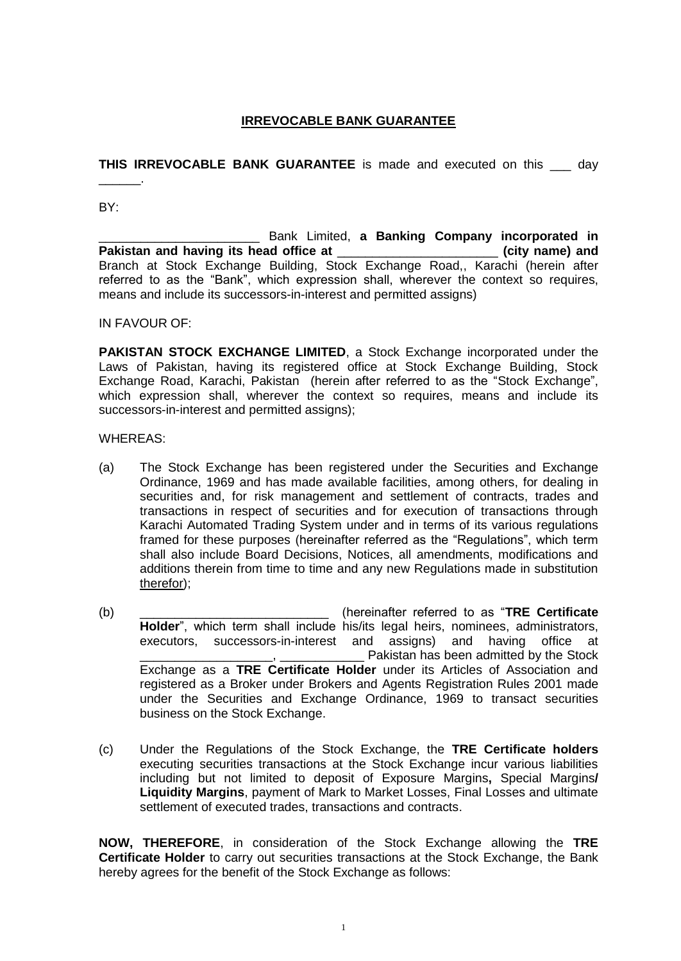# **IRREVOCABLE BANK GUARANTEE**

**THIS IRREVOCABLE BANK GUARANTEE** is made and executed on this \_\_\_ day

BY:

\_\_\_\_\_\_.

\_\_\_\_\_\_\_\_\_\_\_\_\_\_\_\_\_\_\_\_\_\_\_ Bank Limited, **a Banking Company incorporated in Pakistan and having its head office at** \_\_\_\_\_\_\_\_\_\_\_\_\_\_\_\_\_\_\_\_\_\_\_ **(city name) and** Branch at Stock Exchange Building, Stock Exchange Road,, Karachi (herein after referred to as the "Bank", which expression shall, wherever the context so requires, means and include its successors-in-interest and permitted assigns)

IN FAVOUR OF:

**PAKISTAN STOCK EXCHANGE LIMITED**, a Stock Exchange incorporated under the Laws of Pakistan, having its registered office at Stock Exchange Building, Stock Exchange Road, Karachi, Pakistan (herein after referred to as the "Stock Exchange", which expression shall, wherever the context so requires, means and include its successors-in-interest and permitted assigns);

WHEREAS:

- (a) The Stock Exchange has been registered under the Securities and Exchange Ordinance, 1969 and has made available facilities, among others, for dealing in securities and, for risk management and settlement of contracts, trades and transactions in respect of securities and for execution of transactions through Karachi Automated Trading System under and in terms of its various regulations framed for these purposes (hereinafter referred as the "Regulations", which term shall also include Board Decisions, Notices, all amendments, modifications and additions therein from time to time and any new Regulations made in substitution therefor);
- (b) \_\_\_\_\_\_\_\_\_\_\_\_\_\_\_\_\_\_\_\_\_\_\_\_\_\_\_ (hereinafter referred to as "**TRE Certificate Holder**", which term shall include his/its legal heirs, nominees, administrators, executors, successors-in-interest and assigns) and having office at Pakistan has been admitted by the Stock Exchange as a **TRE Certificate Holder** under its Articles of Association and registered as a Broker under Brokers and Agents Registration Rules 2001 made under the Securities and Exchange Ordinance, 1969 to transact securities business on the Stock Exchange.
- (c) Under the Regulations of the Stock Exchange, the **TRE Certificate holders** executing securities transactions at the Stock Exchange incur various liabilities including but not limited to deposit of Exposure Margins**,** Special Margins**/ Liquidity Margins**, payment of Mark to Market Losses, Final Losses and ultimate settlement of executed trades, transactions and contracts.

**NOW, THEREFORE**, in consideration of the Stock Exchange allowing the **TRE Certificate Holder** to carry out securities transactions at the Stock Exchange, the Bank hereby agrees for the benefit of the Stock Exchange as follows: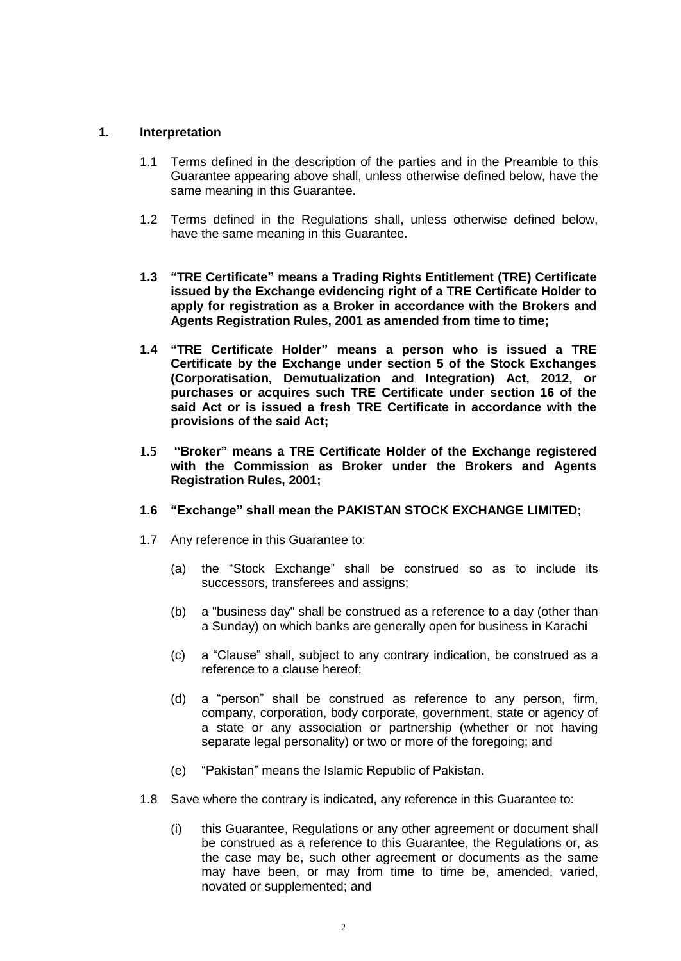#### **1. Interpretation**

- 1.1 Terms defined in the description of the parties and in the Preamble to this Guarantee appearing above shall, unless otherwise defined below, have the same meaning in this Guarantee.
- 1.2 Terms defined in the Regulations shall, unless otherwise defined below, have the same meaning in this Guarantee.
- **1.3 "TRE Certificate" means a Trading Rights Entitlement (TRE) Certificate issued by the Exchange evidencing right of a TRE Certificate Holder to apply for registration as a Broker in accordance with the Brokers and Agents Registration Rules, 2001 as amended from time to time;**
- **1.4 "TRE Certificate Holder" means a person who is issued a TRE Certificate by the Exchange under section 5 of the Stock Exchanges (Corporatisation, Demutualization and Integration) Act, 2012, or purchases or acquires such TRE Certificate under section 16 of the said Act or is issued a fresh TRE Certificate in accordance with the provisions of the said Act;**
- **1.5 "Broker" means a TRE Certificate Holder of the Exchange registered with the Commission as Broker under the Brokers and Agents Registration Rules, 2001;**
- **1.6 "Exchange" shall mean the PAKISTAN STOCK EXCHANGE LIMITED;**
- 1.7 Any reference in this Guarantee to:
	- (a) the "Stock Exchange" shall be construed so as to include its successors, transferees and assigns;
	- (b) a "business day" shall be construed as a reference to a day (other than a Sunday) on which banks are generally open for business in Karachi
	- (c) a "Clause" shall, subject to any contrary indication, be construed as a reference to a clause hereof;
	- (d) a "person" shall be construed as reference to any person, firm, company, corporation, body corporate, government, state or agency of a state or any association or partnership (whether or not having separate legal personality) or two or more of the foregoing; and
	- (e) "Pakistan" means the Islamic Republic of Pakistan.
- 1.8 Save where the contrary is indicated, any reference in this Guarantee to:
	- (i) this Guarantee, Regulations or any other agreement or document shall be construed as a reference to this Guarantee, the Regulations or, as the case may be, such other agreement or documents as the same may have been, or may from time to time be, amended, varied, novated or supplemented; and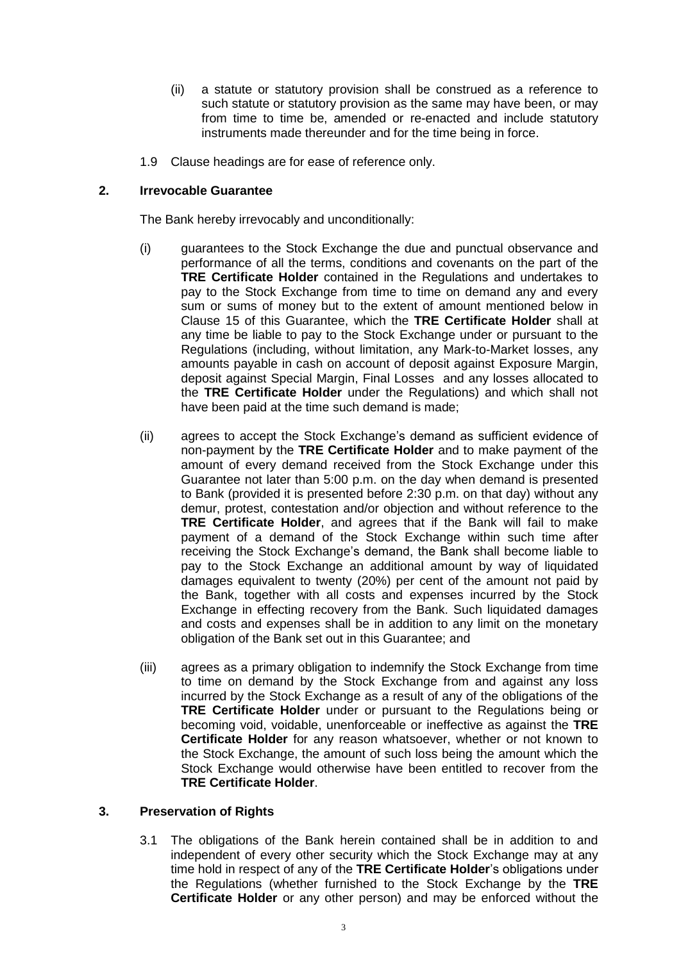- (ii) a statute or statutory provision shall be construed as a reference to such statute or statutory provision as the same may have been, or may from time to time be, amended or re-enacted and include statutory instruments made thereunder and for the time being in force.
- 1.9 Clause headings are for ease of reference only.

### **2. Irrevocable Guarantee**

The Bank hereby irrevocably and unconditionally:

- (i) guarantees to the Stock Exchange the due and punctual observance and performance of all the terms, conditions and covenants on the part of the **TRE Certificate Holder** contained in the Regulations and undertakes to pay to the Stock Exchange from time to time on demand any and every sum or sums of money but to the extent of amount mentioned below in Clause 15 of this Guarantee, which the **TRE Certificate Holder** shall at any time be liable to pay to the Stock Exchange under or pursuant to the Regulations (including, without limitation, any Mark-to-Market losses, any amounts payable in cash on account of deposit against Exposure Margin, deposit against Special Margin, Final Losses and any losses allocated to the **TRE Certificate Holder** under the Regulations) and which shall not have been paid at the time such demand is made;
- (ii) agrees to accept the Stock Exchange's demand as sufficient evidence of non-payment by the **TRE Certificate Holder** and to make payment of the amount of every demand received from the Stock Exchange under this Guarantee not later than 5:00 p.m. on the day when demand is presented to Bank (provided it is presented before 2:30 p.m. on that day) without any demur, protest, contestation and/or objection and without reference to the **TRE Certificate Holder**, and agrees that if the Bank will fail to make payment of a demand of the Stock Exchange within such time after receiving the Stock Exchange's demand, the Bank shall become liable to pay to the Stock Exchange an additional amount by way of liquidated damages equivalent to twenty (20%) per cent of the amount not paid by the Bank, together with all costs and expenses incurred by the Stock Exchange in effecting recovery from the Bank. Such liquidated damages and costs and expenses shall be in addition to any limit on the monetary obligation of the Bank set out in this Guarantee; and
- (iii) agrees as a primary obligation to indemnify the Stock Exchange from time to time on demand by the Stock Exchange from and against any loss incurred by the Stock Exchange as a result of any of the obligations of the **TRE Certificate Holder** under or pursuant to the Regulations being or becoming void, voidable, unenforceable or ineffective as against the **TRE Certificate Holder** for any reason whatsoever, whether or not known to the Stock Exchange, the amount of such loss being the amount which the Stock Exchange would otherwise have been entitled to recover from the **TRE Certificate Holder**.

#### **3. Preservation of Rights**

3.1 The obligations of the Bank herein contained shall be in addition to and independent of every other security which the Stock Exchange may at any time hold in respect of any of the **TRE Certificate Holder**'s obligations under the Regulations (whether furnished to the Stock Exchange by the **TRE Certificate Holder** or any other person) and may be enforced without the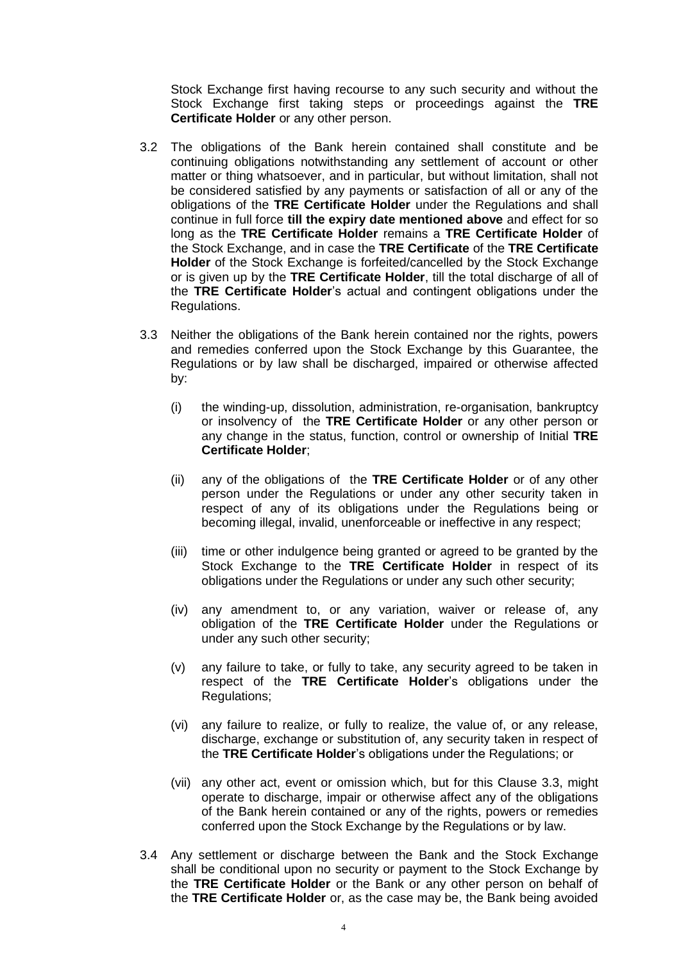Stock Exchange first having recourse to any such security and without the Stock Exchange first taking steps or proceedings against the **TRE Certificate Holder** or any other person.

- 3.2 The obligations of the Bank herein contained shall constitute and be continuing obligations notwithstanding any settlement of account or other matter or thing whatsoever, and in particular, but without limitation, shall not be considered satisfied by any payments or satisfaction of all or any of the obligations of the **TRE Certificate Holder** under the Regulations and shall continue in full force **till the expiry date mentioned above** and effect for so long as the **TRE Certificate Holder** remains a **TRE Certificate Holder** of the Stock Exchange, and in case the **TRE Certificate** of the **TRE Certificate Holder** of the Stock Exchange is forfeited/cancelled by the Stock Exchange or is given up by the **TRE Certificate Holder**, till the total discharge of all of the **TRE Certificate Holder**'s actual and contingent obligations under the Regulations.
- 3.3 Neither the obligations of the Bank herein contained nor the rights, powers and remedies conferred upon the Stock Exchange by this Guarantee, the Regulations or by law shall be discharged, impaired or otherwise affected by:
	- (i) the winding-up, dissolution, administration, re-organisation, bankruptcy or insolvency of the **TRE Certificate Holder** or any other person or any change in the status, function, control or ownership of Initial **TRE Certificate Holder**;
	- (ii) any of the obligations of the **TRE Certificate Holder** or of any other person under the Regulations or under any other security taken in respect of any of its obligations under the Regulations being or becoming illegal, invalid, unenforceable or ineffective in any respect;
	- (iii) time or other indulgence being granted or agreed to be granted by the Stock Exchange to the **TRE Certificate Holder** in respect of its obligations under the Regulations or under any such other security;
	- (iv) any amendment to, or any variation, waiver or release of, any obligation of the **TRE Certificate Holder** under the Regulations or under any such other security;
	- (v) any failure to take, or fully to take, any security agreed to be taken in respect of the **TRE Certificate Holder**'s obligations under the Regulations;
	- (vi) any failure to realize, or fully to realize, the value of, or any release, discharge, exchange or substitution of, any security taken in respect of the **TRE Certificate Holder**'s obligations under the Regulations; or
	- (vii) any other act, event or omission which, but for this Clause 3.3, might operate to discharge, impair or otherwise affect any of the obligations of the Bank herein contained or any of the rights, powers or remedies conferred upon the Stock Exchange by the Regulations or by law.
- 3.4 Any settlement or discharge between the Bank and the Stock Exchange shall be conditional upon no security or payment to the Stock Exchange by the **TRE Certificate Holder** or the Bank or any other person on behalf of the **TRE Certificate Holder** or, as the case may be, the Bank being avoided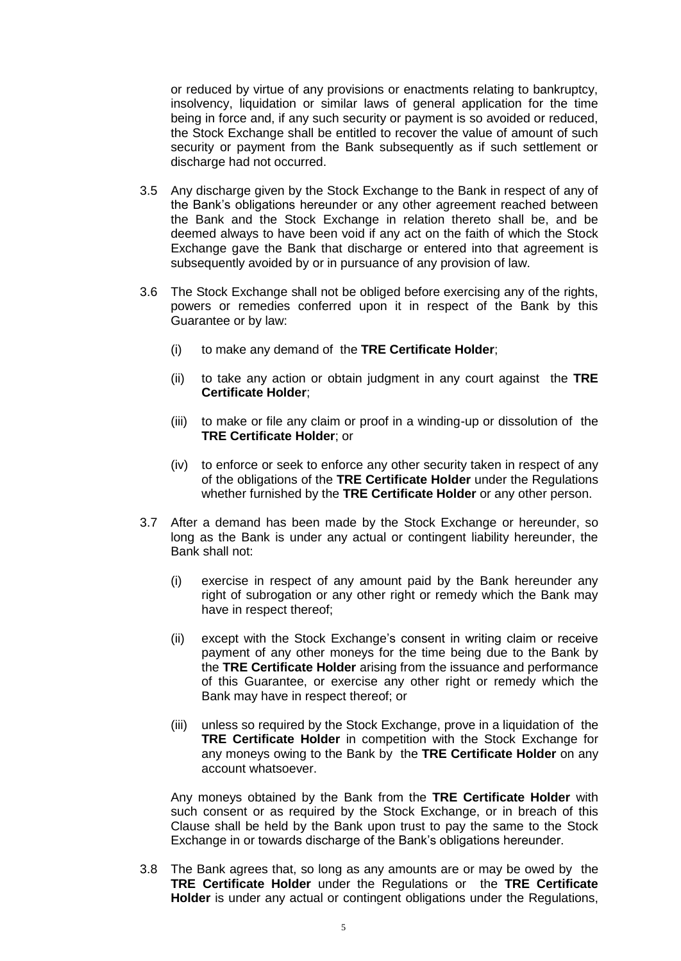or reduced by virtue of any provisions or enactments relating to bankruptcy, insolvency, liquidation or similar laws of general application for the time being in force and, if any such security or payment is so avoided or reduced, the Stock Exchange shall be entitled to recover the value of amount of such security or payment from the Bank subsequently as if such settlement or discharge had not occurred.

- 3.5 Any discharge given by the Stock Exchange to the Bank in respect of any of the Bank's obligations hereunder or any other agreement reached between the Bank and the Stock Exchange in relation thereto shall be, and be deemed always to have been void if any act on the faith of which the Stock Exchange gave the Bank that discharge or entered into that agreement is subsequently avoided by or in pursuance of any provision of law.
- 3.6 The Stock Exchange shall not be obliged before exercising any of the rights, powers or remedies conferred upon it in respect of the Bank by this Guarantee or by law:
	- (i) to make any demand of the **TRE Certificate Holder**;
	- (ii) to take any action or obtain judgment in any court against the **TRE Certificate Holder**;
	- (iii) to make or file any claim or proof in a winding-up or dissolution of the **TRE Certificate Holder**; or
	- (iv) to enforce or seek to enforce any other security taken in respect of any of the obligations of the **TRE Certificate Holder** under the Regulations whether furnished by the **TRE Certificate Holder** or any other person.
- 3.7 After a demand has been made by the Stock Exchange or hereunder, so long as the Bank is under any actual or contingent liability hereunder, the Bank shall not:
	- (i) exercise in respect of any amount paid by the Bank hereunder any right of subrogation or any other right or remedy which the Bank may have in respect thereof;
	- (ii) except with the Stock Exchange's consent in writing claim or receive payment of any other moneys for the time being due to the Bank by the **TRE Certificate Holder** arising from the issuance and performance of this Guarantee, or exercise any other right or remedy which the Bank may have in respect thereof; or
	- (iii) unless so required by the Stock Exchange, prove in a liquidation of the **TRE Certificate Holder** in competition with the Stock Exchange for any moneys owing to the Bank by the **TRE Certificate Holder** on any account whatsoever.

Any moneys obtained by the Bank from the **TRE Certificate Holder** with such consent or as required by the Stock Exchange, or in breach of this Clause shall be held by the Bank upon trust to pay the same to the Stock Exchange in or towards discharge of the Bank's obligations hereunder.

3.8 The Bank agrees that, so long as any amounts are or may be owed by the **TRE Certificate Holder** under the Regulations or the **TRE Certificate Holder** is under any actual or contingent obligations under the Regulations,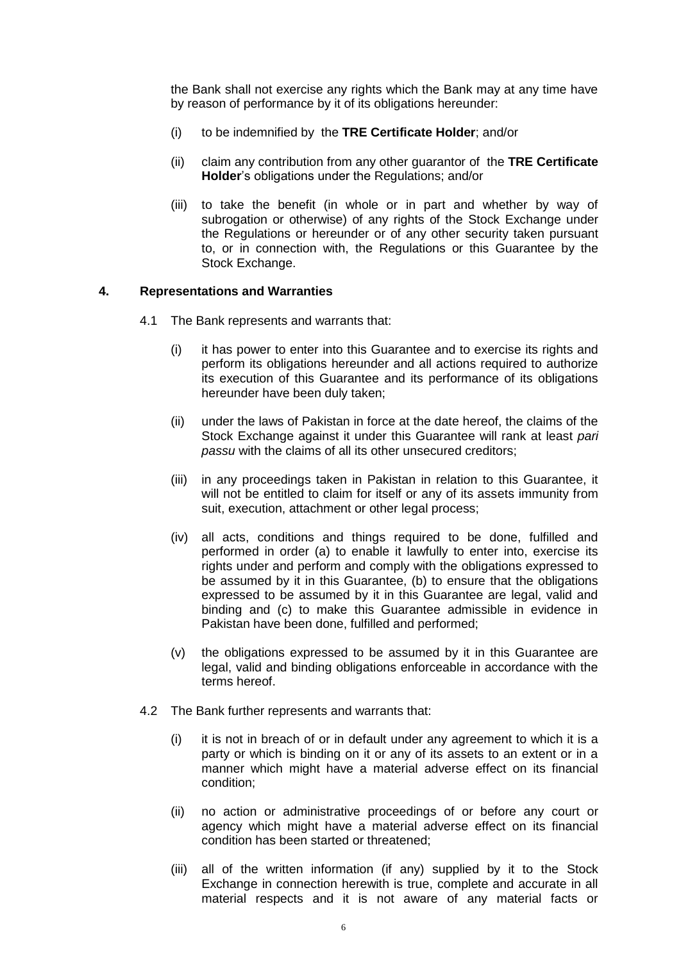the Bank shall not exercise any rights which the Bank may at any time have by reason of performance by it of its obligations hereunder:

- (i) to be indemnified by the **TRE Certificate Holder**; and/or
- (ii) claim any contribution from any other guarantor of the **TRE Certificate Holder**'s obligations under the Regulations; and/or
- (iii) to take the benefit (in whole or in part and whether by way of subrogation or otherwise) of any rights of the Stock Exchange under the Regulations or hereunder or of any other security taken pursuant to, or in connection with, the Regulations or this Guarantee by the Stock Exchange.

#### **4. Representations and Warranties**

- 4.1 The Bank represents and warrants that:
	- (i) it has power to enter into this Guarantee and to exercise its rights and perform its obligations hereunder and all actions required to authorize its execution of this Guarantee and its performance of its obligations hereunder have been duly taken;
	- (ii) under the laws of Pakistan in force at the date hereof, the claims of the Stock Exchange against it under this Guarantee will rank at least *pari passu* with the claims of all its other unsecured creditors;
	- (iii) in any proceedings taken in Pakistan in relation to this Guarantee, it will not be entitled to claim for itself or any of its assets immunity from suit, execution, attachment or other legal process;
	- (iv) all acts, conditions and things required to be done, fulfilled and performed in order (a) to enable it lawfully to enter into, exercise its rights under and perform and comply with the obligations expressed to be assumed by it in this Guarantee, (b) to ensure that the obligations expressed to be assumed by it in this Guarantee are legal, valid and binding and (c) to make this Guarantee admissible in evidence in Pakistan have been done, fulfilled and performed;
	- (v) the obligations expressed to be assumed by it in this Guarantee are legal, valid and binding obligations enforceable in accordance with the terms hereof.
- 4.2 The Bank further represents and warrants that:
	- (i) it is not in breach of or in default under any agreement to which it is a party or which is binding on it or any of its assets to an extent or in a manner which might have a material adverse effect on its financial condition;
	- (ii) no action or administrative proceedings of or before any court or agency which might have a material adverse effect on its financial condition has been started or threatened;
	- (iii) all of the written information (if any) supplied by it to the Stock Exchange in connection herewith is true, complete and accurate in all material respects and it is not aware of any material facts or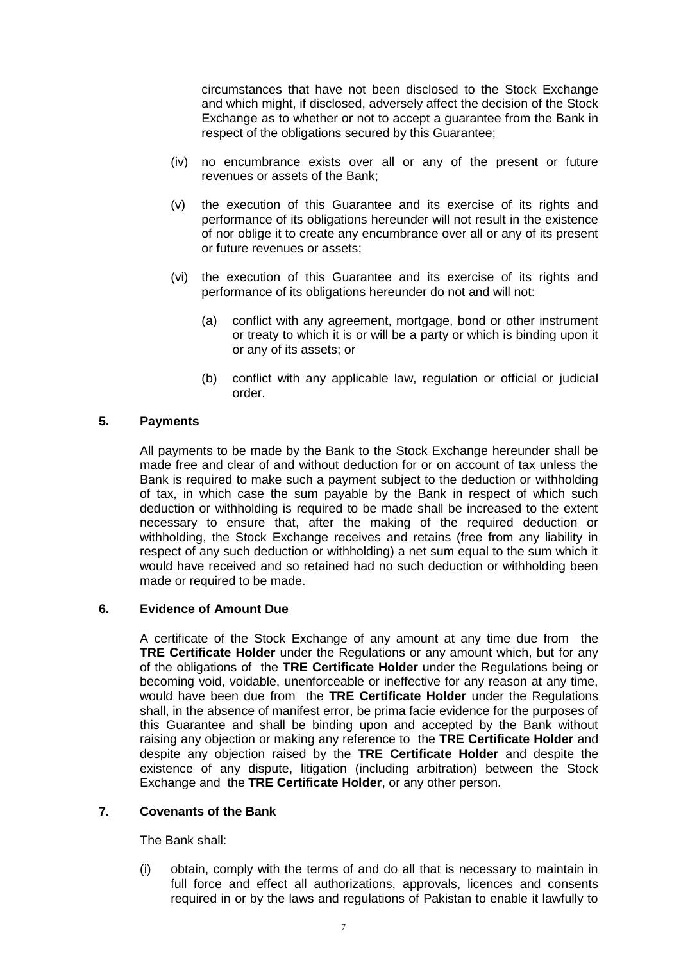circumstances that have not been disclosed to the Stock Exchange and which might, if disclosed, adversely affect the decision of the Stock Exchange as to whether or not to accept a guarantee from the Bank in respect of the obligations secured by this Guarantee;

- (iv) no encumbrance exists over all or any of the present or future revenues or assets of the Bank;
- (v) the execution of this Guarantee and its exercise of its rights and performance of its obligations hereunder will not result in the existence of nor oblige it to create any encumbrance over all or any of its present or future revenues or assets;
- (vi) the execution of this Guarantee and its exercise of its rights and performance of its obligations hereunder do not and will not:
	- (a) conflict with any agreement, mortgage, bond or other instrument or treaty to which it is or will be a party or which is binding upon it or any of its assets; or
	- (b) conflict with any applicable law, regulation or official or judicial order.

# **5. Payments**

All payments to be made by the Bank to the Stock Exchange hereunder shall be made free and clear of and without deduction for or on account of tax unless the Bank is required to make such a payment subject to the deduction or withholding of tax, in which case the sum payable by the Bank in respect of which such deduction or withholding is required to be made shall be increased to the extent necessary to ensure that, after the making of the required deduction or withholding, the Stock Exchange receives and retains (free from any liability in respect of any such deduction or withholding) a net sum equal to the sum which it would have received and so retained had no such deduction or withholding been made or required to be made.

## **6. Evidence of Amount Due**

A certificate of the Stock Exchange of any amount at any time due from the **TRE Certificate Holder** under the Regulations or any amount which, but for any of the obligations of the **TRE Certificate Holder** under the Regulations being or becoming void, voidable, unenforceable or ineffective for any reason at any time, would have been due from the **TRE Certificate Holder** under the Regulations shall, in the absence of manifest error, be prima facie evidence for the purposes of this Guarantee and shall be binding upon and accepted by the Bank without raising any objection or making any reference to the **TRE Certificate Holder** and despite any objection raised by the **TRE Certificate Holder** and despite the existence of any dispute, litigation (including arbitration) between the Stock Exchange and the **TRE Certificate Holder**, or any other person.

## **7. Covenants of the Bank**

The Bank shall:

(i) obtain, comply with the terms of and do all that is necessary to maintain in full force and effect all authorizations, approvals, licences and consents required in or by the laws and regulations of Pakistan to enable it lawfully to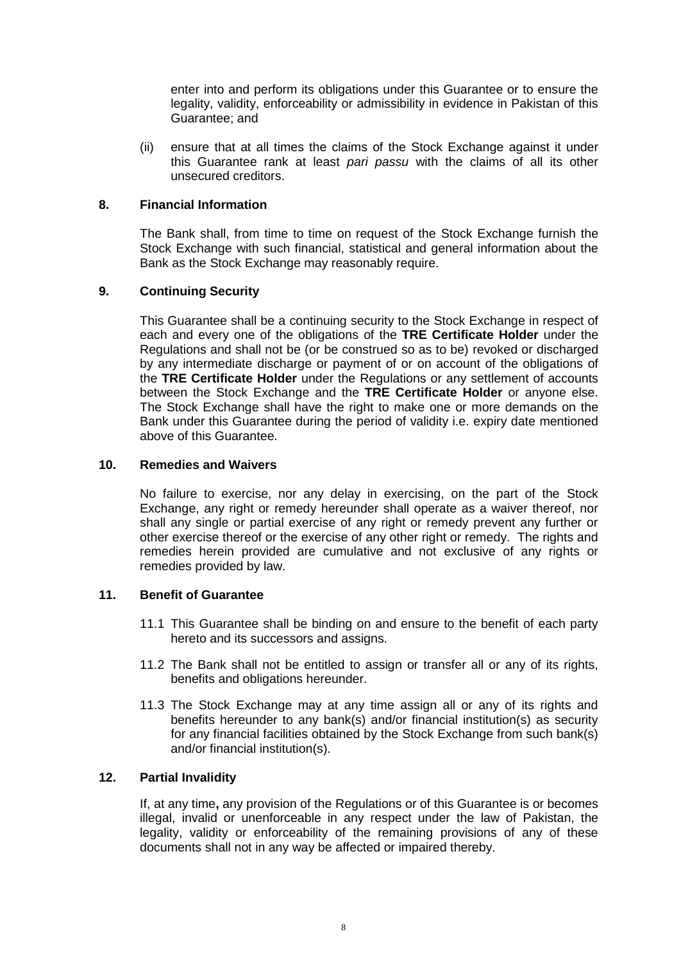enter into and perform its obligations under this Guarantee or to ensure the legality, validity, enforceability or admissibility in evidence in Pakistan of this Guarantee; and

(ii) ensure that at all times the claims of the Stock Exchange against it under this Guarantee rank at least *pari passu* with the claims of all its other unsecured creditors.

## **8. Financial Information**

The Bank shall, from time to time on request of the Stock Exchange furnish the Stock Exchange with such financial, statistical and general information about the Bank as the Stock Exchange may reasonably require.

## **9. Continuing Security**

This Guarantee shall be a continuing security to the Stock Exchange in respect of each and every one of the obligations of the **TRE Certificate Holder** under the Regulations and shall not be (or be construed so as to be) revoked or discharged by any intermediate discharge or payment of or on account of the obligations of the **TRE Certificate Holder** under the Regulations or any settlement of accounts between the Stock Exchange and the **TRE Certificate Holder** or anyone else. The Stock Exchange shall have the right to make one or more demands on the Bank under this Guarantee during the period of validity i.e. expiry date mentioned above of this Guarantee.

#### **10. Remedies and Waivers**

No failure to exercise, nor any delay in exercising, on the part of the Stock Exchange, any right or remedy hereunder shall operate as a waiver thereof, nor shall any single or partial exercise of any right or remedy prevent any further or other exercise thereof or the exercise of any other right or remedy. The rights and remedies herein provided are cumulative and not exclusive of any rights or remedies provided by law.

## **11. Benefit of Guarantee**

- 11.1 This Guarantee shall be binding on and ensure to the benefit of each party hereto and its successors and assigns.
- 11.2 The Bank shall not be entitled to assign or transfer all or any of its rights, benefits and obligations hereunder.
- 11.3 The Stock Exchange may at any time assign all or any of its rights and benefits hereunder to any bank(s) and/or financial institution(s) as security for any financial facilities obtained by the Stock Exchange from such bank(s) and/or financial institution(s).

#### **12. Partial Invalidity**

If, at any time**,** any provision of the Regulations or of this Guarantee is or becomes illegal, invalid or unenforceable in any respect under the law of Pakistan, the legality, validity or enforceability of the remaining provisions of any of these documents shall not in any way be affected or impaired thereby.